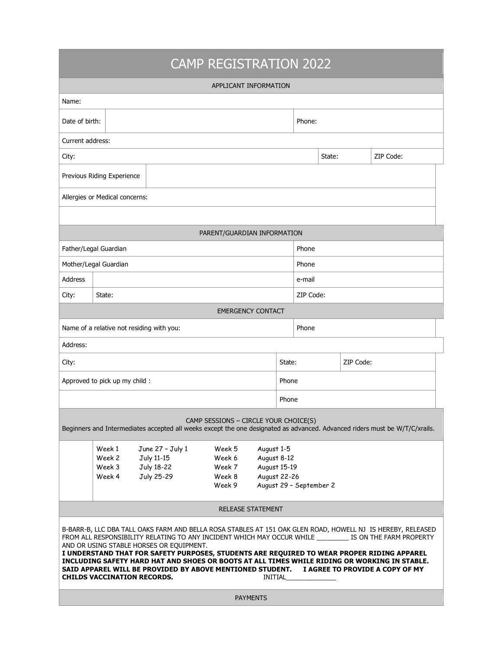## CAMP REGISTRATION 2022

|                                                                                                                                                                                                                                                                                                                                                                                                                                                                                                                                                                                                                     |                  |                                          | APPLICANT INFORMATION |             |                     |                         |           |  |  |  |
|---------------------------------------------------------------------------------------------------------------------------------------------------------------------------------------------------------------------------------------------------------------------------------------------------------------------------------------------------------------------------------------------------------------------------------------------------------------------------------------------------------------------------------------------------------------------------------------------------------------------|------------------|------------------------------------------|-----------------------|-------------|---------------------|-------------------------|-----------|--|--|--|
| Name:                                                                                                                                                                                                                                                                                                                                                                                                                                                                                                                                                                                                               |                  |                                          |                       |             |                     |                         |           |  |  |  |
|                                                                                                                                                                                                                                                                                                                                                                                                                                                                                                                                                                                                                     |                  |                                          |                       |             |                     |                         |           |  |  |  |
| Date of birth:                                                                                                                                                                                                                                                                                                                                                                                                                                                                                                                                                                                                      |                  |                                          |                       |             | Phone:              |                         |           |  |  |  |
| Current address:                                                                                                                                                                                                                                                                                                                                                                                                                                                                                                                                                                                                    |                  |                                          |                       |             |                     |                         |           |  |  |  |
| City:                                                                                                                                                                                                                                                                                                                                                                                                                                                                                                                                                                                                               |                  |                                          |                       |             |                     | ZIP Code:<br>State:     |           |  |  |  |
| Previous Riding Experience                                                                                                                                                                                                                                                                                                                                                                                                                                                                                                                                                                                          |                  |                                          |                       |             |                     |                         |           |  |  |  |
| Allergies or Medical concerns:                                                                                                                                                                                                                                                                                                                                                                                                                                                                                                                                                                                      |                  |                                          |                       |             |                     |                         |           |  |  |  |
|                                                                                                                                                                                                                                                                                                                                                                                                                                                                                                                                                                                                                     |                  |                                          |                       |             |                     |                         |           |  |  |  |
| PARENT/GUARDIAN INFORMATION                                                                                                                                                                                                                                                                                                                                                                                                                                                                                                                                                                                         |                  |                                          |                       |             |                     |                         |           |  |  |  |
| Father/Legal Guardian                                                                                                                                                                                                                                                                                                                                                                                                                                                                                                                                                                                               |                  |                                          |                       |             |                     | Phone                   |           |  |  |  |
| Mother/Legal Guardian                                                                                                                                                                                                                                                                                                                                                                                                                                                                                                                                                                                               |                  |                                          |                       |             |                     | Phone                   |           |  |  |  |
| <b>Address</b>                                                                                                                                                                                                                                                                                                                                                                                                                                                                                                                                                                                                      |                  |                                          |                       |             |                     | e-mail                  |           |  |  |  |
| City:                                                                                                                                                                                                                                                                                                                                                                                                                                                                                                                                                                                                               | State:           |                                          |                       |             |                     |                         | ZIP Code: |  |  |  |
| <b>EMERGENCY CONTACT</b>                                                                                                                                                                                                                                                                                                                                                                                                                                                                                                                                                                                            |                  |                                          |                       |             |                     |                         |           |  |  |  |
| Name of a relative not residing with you:                                                                                                                                                                                                                                                                                                                                                                                                                                                                                                                                                                           |                  |                                          |                       |             |                     | Phone                   |           |  |  |  |
| Address:                                                                                                                                                                                                                                                                                                                                                                                                                                                                                                                                                                                                            |                  |                                          |                       |             |                     |                         |           |  |  |  |
| City:                                                                                                                                                                                                                                                                                                                                                                                                                                                                                                                                                                                                               |                  |                                          |                       |             | ZIP Code:<br>State: |                         |           |  |  |  |
| Approved to pick up my child :                                                                                                                                                                                                                                                                                                                                                                                                                                                                                                                                                                                      |                  |                                          |                       |             | Phone               |                         |           |  |  |  |
|                                                                                                                                                                                                                                                                                                                                                                                                                                                                                                                                                                                                                     |                  |                                          |                       |             | Phone               |                         |           |  |  |  |
| CAMP SESSIONS - CIRCLE YOUR CHOICE(S)<br>Beginners and Intermediates accepted all weeks except the one designated as advanced. Advanced riders must be W/T/C/xrails.                                                                                                                                                                                                                                                                                                                                                                                                                                                |                  |                                          |                       |             |                     |                         |           |  |  |  |
|                                                                                                                                                                                                                                                                                                                                                                                                                                                                                                                                                                                                                     | Week 1           | June 27 - July 1<br>August 1-5<br>Week 5 |                       |             |                     |                         |           |  |  |  |
|                                                                                                                                                                                                                                                                                                                                                                                                                                                                                                                                                                                                                     | Week 2<br>Week 3 | July 11-15<br>July 18-22                 | Week 6<br>Week 7      | August 8-12 | August 15-19        |                         |           |  |  |  |
|                                                                                                                                                                                                                                                                                                                                                                                                                                                                                                                                                                                                                     | Week 4           | July 25-29                               | Week 8                |             | August 22-26        |                         |           |  |  |  |
|                                                                                                                                                                                                                                                                                                                                                                                                                                                                                                                                                                                                                     |                  |                                          | Week 9                |             |                     | August 29 - September 2 |           |  |  |  |
| <b>RELEASE STATEMENT</b>                                                                                                                                                                                                                                                                                                                                                                                                                                                                                                                                                                                            |                  |                                          |                       |             |                     |                         |           |  |  |  |
| B-BARR-B, LLC DBA TALL OAKS FARM AND BELLA ROSA STABLES AT 151 OAK GLEN ROAD, HOWELL NJ IS HEREBY, RELEASED<br>FROM ALL RESPONSIBILITY RELATING TO ANY INCIDENT WHICH MAY OCCUR WHILE __________ IS ON THE FARM PROPERTY<br>AND OR USING STABLE HORSES OR EQUIPMENT.<br>I UNDERSTAND THAT FOR SAFETY PURPOSES, STUDENTS ARE REQUIRED TO WEAR PROPER RIDING APPAREL<br>INCLUDING SAFETY HARD HAT AND SHOES OR BOOTS AT ALL TIMES WHILE RIDING OR WORKING IN STABLE.<br>SAID APPAREL WILL BE PROVIDED BY ABOVE MENTIONED STUDENT.<br>I AGREE TO PROVIDE A COPY OF MY<br><b>CHILDS VACCINATION RECORDS.</b><br>INITIAL |                  |                                          |                       |             |                     |                         |           |  |  |  |
| <b>PAYMENTS</b>                                                                                                                                                                                                                                                                                                                                                                                                                                                                                                                                                                                                     |                  |                                          |                       |             |                     |                         |           |  |  |  |